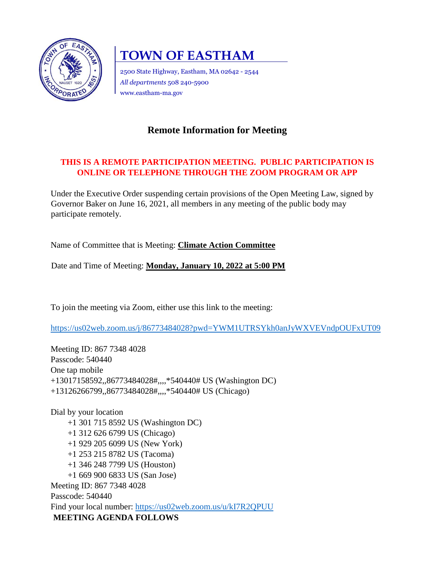

# **TOWN OF EASTHAM**

2500 State Highway, Eastham, MA 02642 - 2544 *All departments* 508 240-5900 www.eastham-ma.gov

# **Remote Information for Meeting**

## **THIS IS A REMOTE PARTICIPATION MEETING. PUBLIC PARTICIPATION IS ONLINE OR TELEPHONE THROUGH THE ZOOM PROGRAM OR APP**

Under the Executive Order suspending certain provisions of the Open Meeting Law, signed by Governor Baker on June 16, 2021, all members in any meeting of the public body may participate remotely.

Name of Committee that is Meeting: **Climate Action Committee** 

Date and Time of Meeting: **Monday, January 10, 2022 at 5:00 PM**

To join the meeting via Zoom, either use this link to the meeting:

<https://us02web.zoom.us/j/86773484028?pwd=YWM1UTRSYkh0anJyWXVEVndpOUFxUT09>

Meeting ID: 867 7348 4028 Passcode: 540440 One tap mobile +13017158592,,86773484028#,,,,\*540440# US (Washington DC) +13126266799,,86773484028#,,,,\*540440# US (Chicago)

Dial by your location +1 301 715 8592 US (Washington DC) +1 312 626 6799 US (Chicago) +1 929 205 6099 US (New York) +1 253 215 8782 US (Tacoma) +1 346 248 7799 US (Houston) +1 669 900 6833 US (San Jose) Meeting ID: 867 7348 4028 Passcode: 540440 Find your local number:<https://us02web.zoom.us/u/kI7R2QPUU> **MEETING AGENDA FOLLOWS**